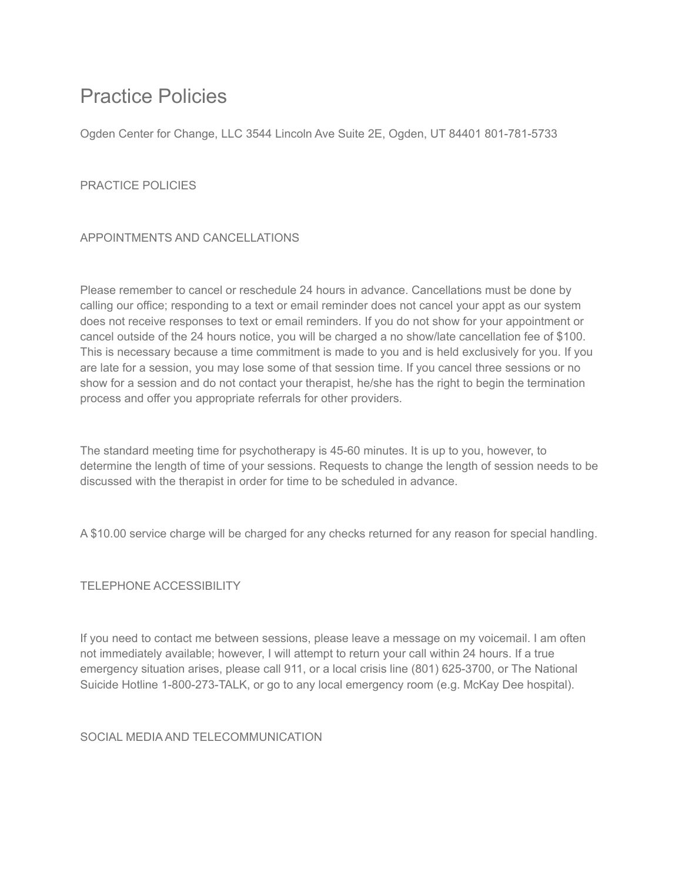# Practice Policies

Ogden Center for Change, LLC 3544 Lincoln Ave Suite 2E, Ogden, UT 84401 801-781-5733

## PRACTICE POLICIES

## APPOINTMENTS AND CANCELLATIONS

Please remember to cancel or reschedule 24 hours in advance. Cancellations must be done by calling our office; responding to a text or email reminder does not cancel your appt as our system does not receive responses to text or email reminders. If you do not show for your appointment or cancel outside of the 24 hours notice, you will be charged a no show/late cancellation fee of \$100. This is necessary because a time commitment is made to you and is held exclusively for you. If you are late for a session, you may lose some of that session time. If you cancel three sessions or no show for a session and do not contact your therapist, he/she has the right to begin the termination process and offer you appropriate referrals for other providers.

The standard meeting time for psychotherapy is 45-60 minutes. It is up to you, however, to determine the length of time of your sessions. Requests to change the length of session needs to be discussed with the therapist in order for time to be scheduled in advance.

A \$10.00 service charge will be charged for any checks returned for any reason for special handling.

#### TELEPHONE ACCESSIBILITY

If you need to contact me between sessions, please leave a message on my voicemail. I am often not immediately available; however, I will attempt to return your call within 24 hours. If a true emergency situation arises, please call 911, or a local crisis line (801) 625-3700, or The National Suicide Hotline 1-800-273-TALK, or go to any local emergency room (e.g. McKay Dee hospital).

#### SOCIAL MEDIA AND TELECOMMUNICATION